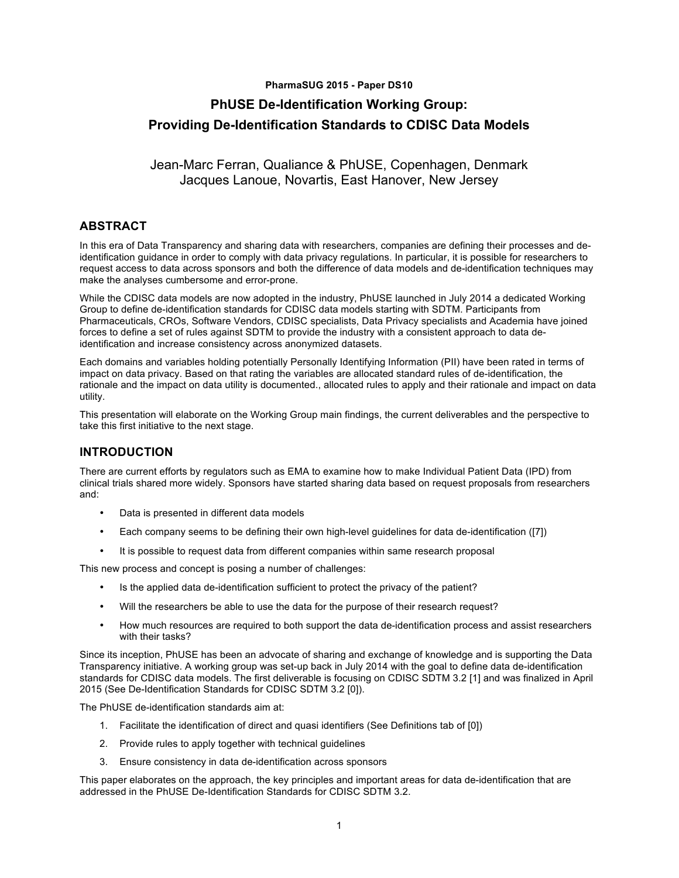# **PharmaSUG 2015 - Paper DS10 PhUSE De-Identification Working Group: Providing De-Identification Standards to CDISC Data Models**

# Jean-Marc Ferran, Qualiance & PhUSE, Copenhagen, Denmark Jacques Lanoue, Novartis, East Hanover, New Jersey

# **ABSTRACT**

In this era of Data Transparency and sharing data with researchers, companies are defining their processes and deidentification guidance in order to comply with data privacy regulations. In particular, it is possible for researchers to request access to data across sponsors and both the difference of data models and de-identification techniques may make the analyses cumbersome and error-prone.

While the CDISC data models are now adopted in the industry, PhUSE launched in July 2014 a dedicated Working Group to define de-identification standards for CDISC data models starting with SDTM. Participants from Pharmaceuticals, CROs, Software Vendors, CDISC specialists, Data Privacy specialists and Academia have joined forces to define a set of rules against SDTM to provide the industry with a consistent approach to data deidentification and increase consistency across anonymized datasets.

Each domains and variables holding potentially Personally Identifying Information (PII) have been rated in terms of impact on data privacy. Based on that rating the variables are allocated standard rules of de-identification, the rationale and the impact on data utility is documented., allocated rules to apply and their rationale and impact on data utility.

This presentation will elaborate on the Working Group main findings, the current deliverables and the perspective to take this first initiative to the next stage.

### **INTRODUCTION**

There are current efforts by regulators such as EMA to examine how to make Individual Patient Data (IPD) from clinical trials shared more widely. Sponsors have started sharing data based on request proposals from researchers and:

- Data is presented in different data models
- Each company seems to be defining their own high-level guidelines for data de-identification ([7])
- It is possible to request data from different companies within same research proposal

This new process and concept is posing a number of challenges:

- Is the applied data de-identification sufficient to protect the privacy of the patient?
- Will the researchers be able to use the data for the purpose of their research request?
- How much resources are required to both support the data de-identification process and assist researchers with their tasks?

Since its inception, PhUSE has been an advocate of sharing and exchange of knowledge and is supporting the Data Transparency initiative. A working group was set-up back in July 2014 with the goal to define data de-identification standards for CDISC data models. The first deliverable is focusing on CDISC SDTM 3.2 [1] and was finalized in April 2015 (See De-Identification Standards for CDISC SDTM 3.2 [0]).

The PhUSE de-identification standards aim at:

- 1. Facilitate the identification of direct and quasi identifiers (See Definitions tab of [0])
- 2. Provide rules to apply together with technical guidelines
- 3. Ensure consistency in data de-identification across sponsors

This paper elaborates on the approach, the key principles and important areas for data de-identification that are addressed in the PhUSE De-Identification Standards for CDISC SDTM 3.2.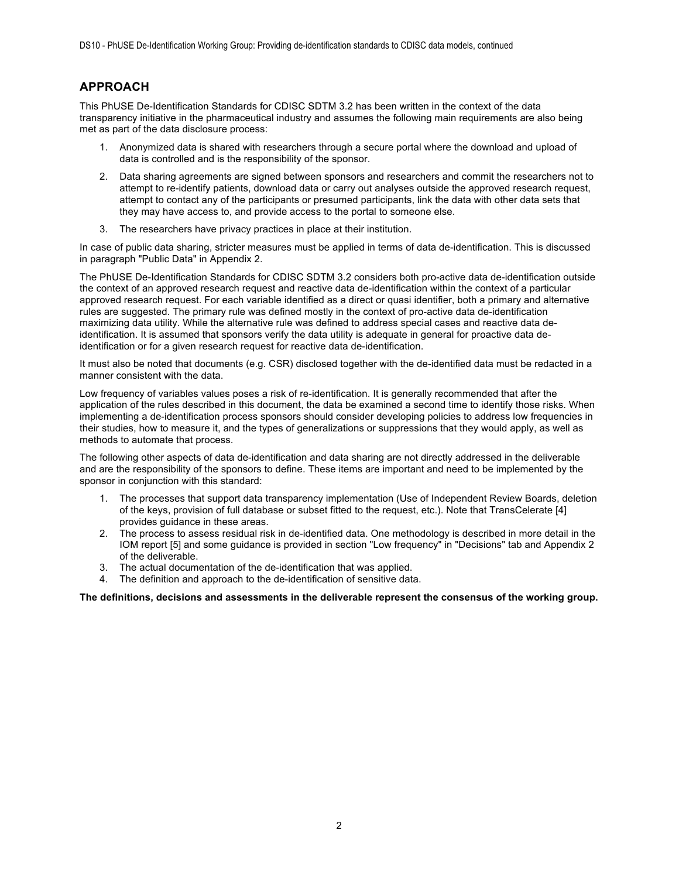# **APPROACH**

This PhUSE De-Identification Standards for CDISC SDTM 3.2 has been written in the context of the data transparency initiative in the pharmaceutical industry and assumes the following main requirements are also being met as part of the data disclosure process:

- 1. Anonymized data is shared with researchers through a secure portal where the download and upload of data is controlled and is the responsibility of the sponsor.
- 2. Data sharing agreements are signed between sponsors and researchers and commit the researchers not to attempt to re-identify patients, download data or carry out analyses outside the approved research request, attempt to contact any of the participants or presumed participants, link the data with other data sets that they may have access to, and provide access to the portal to someone else.
- 3. The researchers have privacy practices in place at their institution.

In case of public data sharing, stricter measures must be applied in terms of data de-identification. This is discussed in paragraph "Public Data" in Appendix 2.

The PhUSE De-Identification Standards for CDISC SDTM 3.2 considers both pro-active data de-identification outside the context of an approved research request and reactive data de-identification within the context of a particular approved research request. For each variable identified as a direct or quasi identifier, both a primary and alternative rules are suggested. The primary rule was defined mostly in the context of pro-active data de-identification maximizing data utility. While the alternative rule was defined to address special cases and reactive data deidentification. It is assumed that sponsors verify the data utility is adequate in general for proactive data deidentification or for a given research request for reactive data de-identification.

It must also be noted that documents (e.g. CSR) disclosed together with the de-identified data must be redacted in a manner consistent with the data.

Low frequency of variables values poses a risk of re-identification. It is generally recommended that after the application of the rules described in this document, the data be examined a second time to identify those risks. When implementing a de-identification process sponsors should consider developing policies to address low frequencies in their studies, how to measure it, and the types of generalizations or suppressions that they would apply, as well as methods to automate that process.

The following other aspects of data de-identification and data sharing are not directly addressed in the deliverable and are the responsibility of the sponsors to define. These items are important and need to be implemented by the sponsor in conjunction with this standard:

- 1. The processes that support data transparency implementation (Use of Independent Review Boards, deletion of the keys, provision of full database or subset fitted to the request, etc.). Note that TransCelerate [4] provides guidance in these areas.
- 2. The process to assess residual risk in de-identified data. One methodology is described in more detail in the IOM report [5] and some guidance is provided in section "Low frequency" in "Decisions" tab and Appendix 2 of the deliverable.
- 3. The actual documentation of the de-identification that was applied.
- 4. The definition and approach to the de-identification of sensitive data.

### **The definitions, decisions and assessments in the deliverable represent the consensus of the working group.**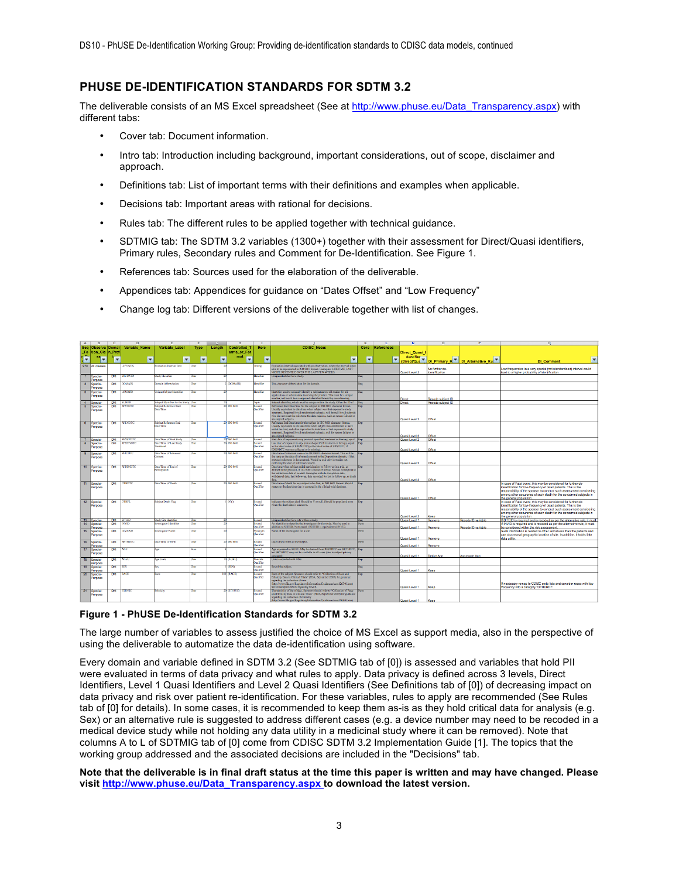# **PHUSE DE-IDENTIFICATION STANDARDS FOR SDTM 3.2**

The deliverable consists of an MS Excel spreadsheet (See at http://www.phuse.eu/Data\_Transparency.aspx) with different tabs:

- Cover tab: Document information.
- Intro tab: Introduction including background, important considerations, out of scope, disclaimer and approach.
- Definitions tab: List of important terms with their definitions and examples when applicable.
- Decisions tab: Important areas with rational for decisions.
- Rules tab: The different rules to be applied together with technical guidance.
- SDTMIG tab: The SDTM 3.2 variables (1300+) together with their assessment for Direct/Quasi identifiers, Primary rules, Secondary rules and Comment for De-Identification. See Figure 1.
- References tab: Sources used for the elaboration of the deliverable.
- Appendices tab: Appendices for guidance on "Dates Offset" and "Low Frequency"
- Change log tab: Different versions of the deliverable together with list of changes.

|                | R                     | $\mathbf{C}$    | D                  |                                           |                  |        | $\overline{H}$     |                                  |                                                                                                                                                                                                                                                                                                                                           | $\overline{\mathbf{K}}$ | L                 | $\overline{\mathbf{N}}$ | $\overline{O}$                  |                                          | $\circ$                                                                                                                                                                                                                                                                                                  |
|----------------|-----------------------|-----------------|--------------------|-------------------------------------------|------------------|--------|--------------------|----------------------------------|-------------------------------------------------------------------------------------------------------------------------------------------------------------------------------------------------------------------------------------------------------------------------------------------------------------------------------------------|-------------------------|-------------------|-------------------------|---------------------------------|------------------------------------------|----------------------------------------------------------------------------------------------------------------------------------------------------------------------------------------------------------------------------------------------------------------------------------------------------------|
|                | Seg   Observa   Domai |                 | Variable Name      | Variable Label                            | <b>Type</b>      | Length | Controlled T       | Role                             | <b>CDISC Notes</b>                                                                                                                                                                                                                                                                                                                        | Core.                   | <b>References</b> |                         |                                 |                                          |                                                                                                                                                                                                                                                                                                          |
| Fo             | tion Cla n Pref       |                 |                    |                                           |                  |        | erms or For        |                                  |                                                                                                                                                                                                                                                                                                                                           |                         |                   | <b>Direct Quasi I</b>   |                                 |                                          |                                                                                                                                                                                                                                                                                                          |
| īΦ             |                       | 啃               | ▼                  | $\overline{\phantom{a}}$                  | ≂                | ≂      | mat<br>G           | ₹                                | ≂                                                                                                                                                                                                                                                                                                                                         | ∣≂                      | ∓                 |                         |                                 | dentifier DI Primary R DI Alternative Ru | $\overline{\phantom{a}}$<br>DI Comment                                                                                                                                                                                                                                                                   |
|                | 970 All classes       |                 | <b>EVINTX</b>      | <b>Fealuation Interval Text</b>           | Char             |        |                    | imine                            | Evaluation interval associated with an observation, where the interval is not<br>able to be represented in ISO 8601 format. Examples: LIFETIME, LAST<br>NIGHT, RECENTLY, OVER THE LAST FEW WEEKS.                                                                                                                                         |                         |                   | Quasi Level 2           | No further de-<br>dentification |                                          | Low frequencies in a very special (not standardised) interval could<br>lead to a higher probability of identification                                                                                                                                                                                    |
|                | Special-<br>Purpose   | <b>DM</b>       | <b>STUDYID</b>     | Study Identifier                          | Char             |        |                    | <b>Mercifier</b>                 | Inique identifier for a study.                                                                                                                                                                                                                                                                                                            | Reg                     |                   |                         |                                 |                                          |                                                                                                                                                                                                                                                                                                          |
| $\overline{2}$ | Special-<br>Purpose   |                 | DM DOMAIN          | Domain Abbreviation                       | Char             |        | <b>(DOMAIN)</b>    | dentifier                        | Two-character abbreviation for the domain.                                                                                                                                                                                                                                                                                                | Reg                     |                   |                         |                                 |                                          |                                                                                                                                                                                                                                                                                                          |
|                | Soedal-<br>Purpose    | <b>DM</b>       | <b>LISU BJID</b>   | Inique Subject Identifier                 | Char             |        |                    | dentifier                        | lentifier used to uniquely identify a subject across all studies for all<br>anelications or submissions involving the product. This must be a unique<br>unber, and could be a compound identifier formed by concatenating                                                                                                                 | kaq                     |                   | <b>Direct</b>           | Recode subject ID               |                                          |                                                                                                                                                                                                                                                                                                          |
| $\sim$         | Special-              |                 | <b>DM</b> SUBJID   | Subject Identifier for the Study [Char-   |                  |        |                    | Topic                            | Subject identifier, which must be unique within the study. Other the ID of Req                                                                                                                                                                                                                                                            |                         |                   | <b>Direct</b>           | Recode subject ID               |                                          |                                                                                                                                                                                                                                                                                                          |
|                | Soecial-<br>Purpose   | <b>DM</b>       | <b>RESTDTC</b>     | ichiect Reference Start<br>Date Time      | $C_{\text{inf}}$ |        | 20 190 8601        | lecord<br>Dualifier              | eference Start Date/time for the subject in ISO 8601 character format.<br>Sually equivalent to date/time when subject was first exposed to study<br>reatment. Required for all randomized subjects: will be null for all subjects.<br>who did not meet the milestone the date requires, such as screen failures or<br>massigned subjects. |                         |                   | Quasi Level 2           | Offset                          |                                          |                                                                                                                                                                                                                                                                                                          |
|                | Special-<br>Purpose   |                 | <b>DM</b> REENDTC  | <b>Subject Reference End</b><br>Date/Time | Char             |        | TONE CUIT BY       | Record<br>Sualifier              | Reference End Date/time for the subject in ISO 8601 character format.<br>Usually equivalent to the date/time when subject was determined to have<br>ended the trial, and often equivalent to date time of last exposure to study<br>treatment. Required for all randomized subjects: rail for screen failures or<br>nassigned subjects.   |                         |                   | Quasi Level 2           |                                 |                                          |                                                                                                                                                                                                                                                                                                          |
|                | Special               |                 | <b>DM</b> REXSTDTC | <b>Date:Time of First Study</b>           | Char             |        | 201150 8601        | Record                           | First date of exposure to any protocol-specified treatment or therapy, equal Exp                                                                                                                                                                                                                                                          |                         |                   | Quasi Level 2           | Officet                         |                                          |                                                                                                                                                                                                                                                                                                          |
|                | Special-<br>Purpose   | <b>DM</b>       | <b>REXENDTO</b>    | Me/Time of Last Study<br>reatment         | Char             |        | 20 ISO 8601        | lecord<br>Dualifier              | Last date of exposure to any protocol-specified treatment or therapy, equal Exp<br>to the latest value of EXENDTC (or the latest value of EXSTDTC if<br>EXENDTC was not collected or is missing).                                                                                                                                         |                         |                   | Quasi Level 2           | Officed                         |                                          |                                                                                                                                                                                                                                                                                                          |
|                | Soedal-<br>Purpose    | <b>DM</b>       | <b>RFICDTC</b>     | Date Time of Informed<br>visioni          | n.               |        | 20 ISO 8601        | bacced<br>Daalifier              | Date/time of informed consent in ISO 8601 character format. This will be<br>the same as the date of informed consent in the Disposition domain, if that<br>protocol milestone is decumented. Would be null only in studies not<br>llecting the date of informed consent.                                                                  |                         |                   | Quasi Level 2           | Offiset                         |                                          |                                                                                                                                                                                                                                                                                                          |
| 10             | Special-<br>Purpose   | <b>DM</b>       | <b>REPENDIC</b>    | Date Time of End of<br>Participation      | Char             |        | <b>20 ISO 8601</b> | Record<br>Dualifier              | Date time when subject ended participation or follow-up in a trial, as<br>defined in the protocol, in ISO 8601 character format. Should correspond to<br>the last known date of contact. Examples include completion date,<br>withdrawal date, last follow-up, date recorded for lost to follow up, or death                              |                         |                   | Quasi Level 2           | Officed                         |                                          |                                                                                                                                                                                                                                                                                                          |
| 11             | Soed'al-<br>Purpose   | <b>DM</b>       | <b>DIRIOTO</b>     | <b>Date Time of Death</b>                 | Gш               |        | <b>30 BKO MOT</b>  | <b>lecord</b><br>Dualifier       | Ate/time of death for any subject who died, in ISO 8601 format. Should<br>present the date/time that is captured in the clinical-trial database.                                                                                                                                                                                          |                         |                   | Quasi Level 1           | Offiset                         |                                          | In case of Fatal event. this may be considered for further de-<br>identification for low-frequency of dead patients. This is the<br>responsibility of the sponsor to conduct such assessment considering<br>among other occurence of such death for the concerned subjects in<br>the general population. |
| 12             | Soed al-<br>Purpose   |                 | <b>DM</b> DTHFL    | <b>Schleet Death Flag</b>                 | C <sub>ext</sub> |        | om.                | tecced<br>Dualifier              | indicates the subject died. Should be Y or null. Should be populated even<br>when the death date is unknown.                                                                                                                                                                                                                              | Exe                     |                   | Quasi Level 2           | Keen                            |                                          | In case of Fatal event, this may be considered for further de-<br>identification for low-frequency of dead patients. This is the<br>responsibility of the sponsor to conduct such assessment considering<br>among other occurence of such death for the concerned subjects in<br>the general population. |
|                | 13 Special-           | <b>DM</b> STEED |                    | <b>Study Site Merridian</b>               | Char             | 20     |                    | Reverd                           | Unique identifier for a site within a study.                                                                                                                                                                                                                                                                                              | Rag                     |                   | Quasi Level 1           | Remove                          | Recode ID variable                       | If SITEID is required and is recoded as per the alternative rule, it must                                                                                                                                                                                                                                |
| $14-14$        | Special-<br>Purpose   | <b>DM</b>       | <b>INVID</b>       | vestigator Identifier                     | Char             |        |                    | Record<br><b>Oualifier</b>       | An identifier to describe the Investigater for the study. May be used in<br>addition to SITEID. Not needed if SITEID is equivalent to INVID.                                                                                                                                                                                              |                         |                   | Quasi Level 1           | Remove                          | Recode ID variable                       | If INVID is required and is recoded as per the alternative rule, it must<br>be considered within the risk assessment.                                                                                                                                                                                    |
| 15             | Special-<br>Purpose   | <b>DM</b>       | <b>INVNAM</b>      | vestigator Name                           | Char             |        |                    | Syncerym<br>Sullifier            | Name of the investigator for a site.                                                                                                                                                                                                                                                                                                      |                         |                   | Quasi Level 1           | temove                          |                                          | Such information is related to other individuals than the patients and<br>can also reveal geographic location of site. In addition, it holds little<br>data utility.                                                                                                                                     |
| 16             | Special-<br>Purpose   | <b>DM</b>       | <b>BRIHDIC</b>     | <b>Date Time of Birth</b>                 | Char             |        | 20 ISO 8601        | <b>Record</b><br><b>Audifier</b> | Date/time of birth of the subject.                                                                                                                                                                                                                                                                                                        |                         |                   | Quasi Level 1           | Remove                          |                                          |                                                                                                                                                                                                                                                                                                          |
| 17             | Special-<br>Purpose   | <b>DM</b>       | <b>AGE</b>         | Age                                       | Num              |        |                    | Record<br>Qualifier              | Age expressed in AGEU. May be derived from RFSTDTC and BRTHDTC, Exp<br>but BRTHDTC may not be available in all cases (due to subject privacy-<br><b>ECOTES</b>                                                                                                                                                                            |                         |                   | Quasi Level 1           | <b>Derive Age</b>               | Aggregate Age                            |                                                                                                                                                                                                                                                                                                          |
|                | Soed al-<br>urpose    | <b>DM</b>       | <b>AGEU</b>        | Ape Links                                 | Char             |        | <b>(ACEL)</b>      | dariable<br><b>Sublifier</b>     | hits associated with AGE                                                                                                                                                                                                                                                                                                                  | Exp                     |                   |                         |                                 |                                          |                                                                                                                                                                                                                                                                                                          |
| 19             | Special-<br>Purpose   | <b>DM</b>       | <b>SEX</b>         | Sex                                       | <b>Char</b>      |        | (SEX)              | Record<br><b>Malifier</b>        | Sex of the subject.                                                                                                                                                                                                                                                                                                                       | Req                     |                   | Quasi Level 1           | Keen                            |                                          |                                                                                                                                                                                                                                                                                                          |
| 20             | Special-<br>Purpose   | <b>DM</b>       | <b>RACE</b>        | Raze                                      | Oм               |        | <b>100 (RACE)</b>  | lecord<br>Qualifier              | Race of the subject. Sponsors should refer to "Collection of Race and<br>hricity Data in Clinical Trials" (FDA, September 2005) for guidance<br>regarding the collection of race<br>(http://www.fda.gov/RegulatoryInformation/Guidances/ucm126340.htm)<br>See Assumption below regarding RACE.                                            |                         |                   | Quasi Level 1           | Konn                            |                                          | If necessary remap to CDISC code lists and consider races with low<br>frequency into a category "OTHERDI".                                                                                                                                                                                               |
| 21             | Special-<br>Purpose   | <b>DM</b>       | <b>ETHNIC</b>      | <b>Dimicity</b>                           | Char             |        | 20 GEDINICI        | Revent<br>Dualifier              | The ethnicity of the subject. Sponsors should refer to "Collection of Race<br>and Ethnicity Data in Clinical Trials" (FDA, September 2005) for guidance<br>regarding the collection of ethnicity                                                                                                                                          |                         |                   |                         |                                 |                                          |                                                                                                                                                                                                                                                                                                          |
|                |                       |                 |                    |                                           |                  |        |                    |                                  | ttre//www.fda.gov/RegulatoryInformation/Guidances/ucm126340.htm).                                                                                                                                                                                                                                                                         |                         |                   | Crossi Level 1          | Keen                            |                                          |                                                                                                                                                                                                                                                                                                          |

### **Figure 1 - PhUSE De-Identification Standards for SDTM 3.2**

The large number of variables to assess justified the choice of MS Excel as support media, also in the perspective of using the deliverable to automatize the data de-identification using software.

Every domain and variable defined in SDTM 3.2 (See SDTMIG tab of [0]) is assessed and variables that hold PII were evaluated in terms of data privacy and what rules to apply. Data privacy is defined across 3 levels, Direct Identifiers, Level 1 Quasi Identifiers and Level 2 Quasi Identifiers (See Definitions tab of [0]) of decreasing impact on data privacy and risk over patient re-identification. For these variables, rules to apply are recommended (See Rules tab of [0] for details). In some cases, it is recommended to keep them as-is as they hold critical data for analysis (e.g. Sex) or an alternative rule is suggested to address different cases (e.g. a device number may need to be recoded in a medical device study while not holding any data utility in a medicinal study where it can be removed). Note that columns A to L of SDTMIG tab of [0] come from CDISC SDTM 3.2 Implementation Guide [1]. The topics that the working group addressed and the associated decisions are included in the "Decisions" tab.

**Note that the deliverable is in final draft status at the time this paper is written and may have changed. Please visit http://www.phuse.eu/Data\_Transparency.aspx to download the latest version.**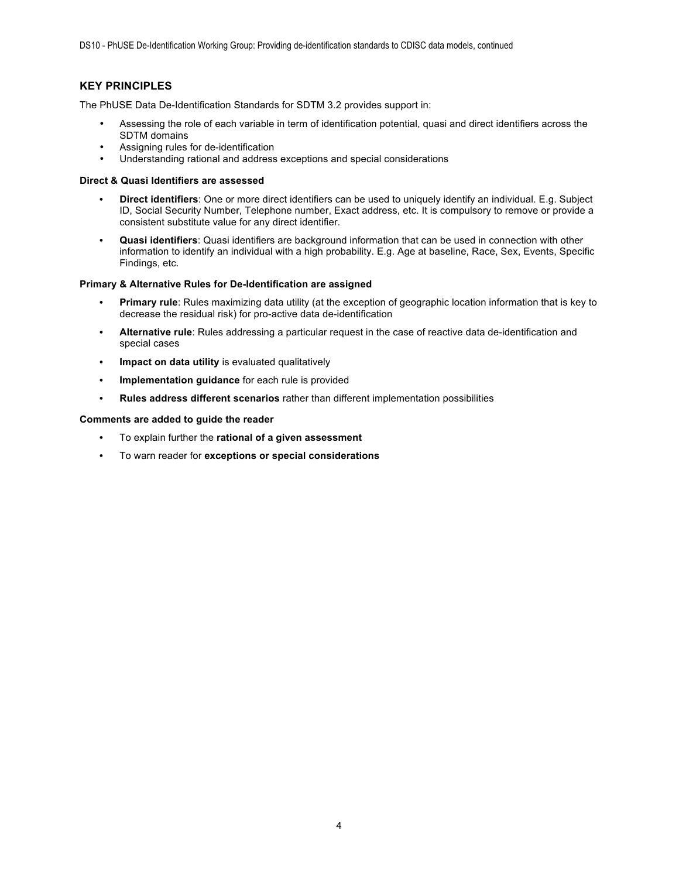### **KEY PRINCIPLES**

The PhUSE Data De-Identification Standards for SDTM 3.2 provides support in:

- Assessing the role of each variable in term of identification potential, quasi and direct identifiers across the SDTM domains
- Assigning rules for de-identification
- Understanding rational and address exceptions and special considerations

#### **Direct & Quasi Identifiers are assessed**

- **Direct identifiers**: One or more direct identifiers can be used to uniquely identify an individual. E.g. Subject ID, Social Security Number, Telephone number, Exact address, etc. It is compulsory to remove or provide a consistent substitute value for any direct identifier.
- **Quasi identifiers**: Quasi identifiers are background information that can be used in connection with other information to identify an individual with a high probability. E.g. Age at baseline, Race, Sex, Events, Specific Findings, etc.

### **Primary & Alternative Rules for De-Identification are assigned**

- **Primary rule**: Rules maximizing data utility (at the exception of geographic location information that is key to decrease the residual risk) for pro-active data de-identification
- **Alternative rule**: Rules addressing a particular request in the case of reactive data de-identification and special cases
- **Impact on data utility** is evaluated qualitatively
- **Implementation guidance** for each rule is provided
- **Rules address different scenarios** rather than different implementation possibilities

### **Comments are added to guide the reader**

- To explain further the **rational of a given assessment**
- To warn reader for **exceptions or special considerations**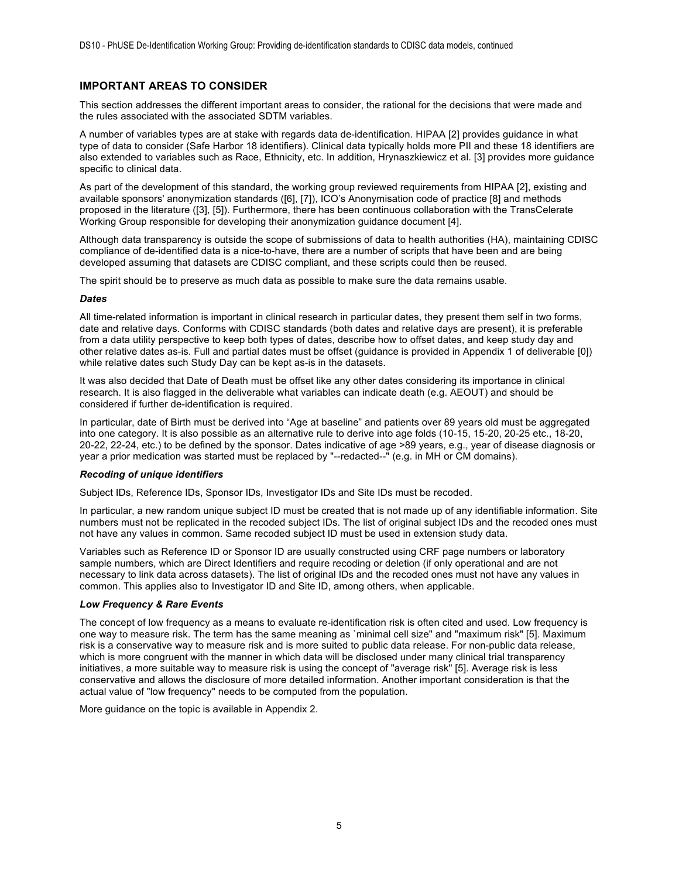### **IMPORTANT AREAS TO CONSIDER**

This section addresses the different important areas to consider, the rational for the decisions that were made and the rules associated with the associated SDTM variables.

A number of variables types are at stake with regards data de-identification. HIPAA [2] provides guidance in what type of data to consider (Safe Harbor 18 identifiers). Clinical data typically holds more PII and these 18 identifiers are also extended to variables such as Race, Ethnicity, etc. In addition, Hrynaszkiewicz et al. [3] provides more guidance specific to clinical data.

As part of the development of this standard, the working group reviewed requirements from HIPAA [2], existing and available sponsors' anonymization standards ([6], [7]), ICO's Anonymisation code of practice [8] and methods proposed in the literature ([3], [5]). Furthermore, there has been continuous collaboration with the TransCelerate Working Group responsible for developing their anonymization guidance document [4].

Although data transparency is outside the scope of submissions of data to health authorities (HA), maintaining CDISC compliance of de-identified data is a nice-to-have, there are a number of scripts that have been and are being developed assuming that datasets are CDISC compliant, and these scripts could then be reused.

The spirit should be to preserve as much data as possible to make sure the data remains usable.

#### *Dates*

All time-related information is important in clinical research in particular dates, they present them self in two forms, date and relative days. Conforms with CDISC standards (both dates and relative days are present), it is preferable from a data utility perspective to keep both types of dates, describe how to offset dates, and keep study day and other relative dates as-is. Full and partial dates must be offset (guidance is provided in Appendix 1 of deliverable [0]) while relative dates such Study Day can be kept as-is in the datasets.

It was also decided that Date of Death must be offset like any other dates considering its importance in clinical research. It is also flagged in the deliverable what variables can indicate death (e.g. AEOUT) and should be considered if further de-identification is required.

In particular, date of Birth must be derived into "Age at baseline" and patients over 89 years old must be aggregated into one category. It is also possible as an alternative rule to derive into age folds (10-15, 15-20, 20-25 etc., 18-20, 20-22, 22-24, etc.) to be defined by the sponsor. Dates indicative of age >89 years, e.g., year of disease diagnosis or year a prior medication was started must be replaced by "--redacted--" (e.g. in MH or CM domains).

#### *Recoding of unique identifiers*

Subject IDs, Reference IDs, Sponsor IDs, Investigator IDs and Site IDs must be recoded.

In particular, a new random unique subject ID must be created that is not made up of any identifiable information. Site numbers must not be replicated in the recoded subject IDs. The list of original subject IDs and the recoded ones must not have any values in common. Same recoded subject ID must be used in extension study data.

Variables such as Reference ID or Sponsor ID are usually constructed using CRF page numbers or laboratory sample numbers, which are Direct Identifiers and require recoding or deletion (if only operational and are not necessary to link data across datasets). The list of original IDs and the recoded ones must not have any values in common. This applies also to Investigator ID and Site ID, among others, when applicable.

#### *Low Frequency & Rare Events*

The concept of low frequency as a means to evaluate re-identification risk is often cited and used. Low frequency is one way to measure risk. The term has the same meaning as `minimal cell size" and "maximum risk" [5]. Maximum risk is a conservative way to measure risk and is more suited to public data release. For non-public data release, which is more congruent with the manner in which data will be disclosed under many clinical trial transparency initiatives, a more suitable way to measure risk is using the concept of "average risk" [5]. Average risk is less conservative and allows the disclosure of more detailed information. Another important consideration is that the actual value of "low frequency" needs to be computed from the population.

More guidance on the topic is available in Appendix 2.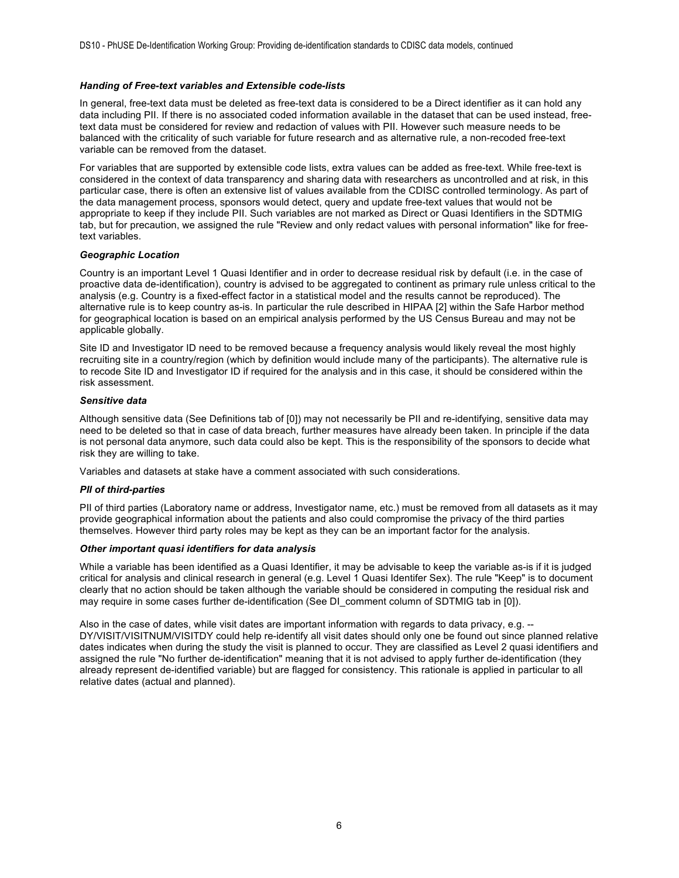### *Handing of Free-text variables and Extensible code-lists*

In general, free-text data must be deleted as free-text data is considered to be a Direct identifier as it can hold any data including PII. If there is no associated coded information available in the dataset that can be used instead, freetext data must be considered for review and redaction of values with PII. However such measure needs to be balanced with the criticality of such variable for future research and as alternative rule, a non-recoded free-text variable can be removed from the dataset.

For variables that are supported by extensible code lists, extra values can be added as free-text. While free-text is considered in the context of data transparency and sharing data with researchers as uncontrolled and at risk, in this particular case, there is often an extensive list of values available from the CDISC controlled terminology. As part of the data management process, sponsors would detect, query and update free-text values that would not be appropriate to keep if they include PII. Such variables are not marked as Direct or Quasi Identifiers in the SDTMIG tab, but for precaution, we assigned the rule "Review and only redact values with personal information" like for freetext variables.

### *Geographic Location*

Country is an important Level 1 Quasi Identifier and in order to decrease residual risk by default (i.e. in the case of proactive data de-identification), country is advised to be aggregated to continent as primary rule unless critical to the analysis (e.g. Country is a fixed-effect factor in a statistical model and the results cannot be reproduced). The alternative rule is to keep country as-is. In particular the rule described in HIPAA [2] within the Safe Harbor method for geographical location is based on an empirical analysis performed by the US Census Bureau and may not be applicable globally.

Site ID and Investigator ID need to be removed because a frequency analysis would likely reveal the most highly recruiting site in a country/region (which by definition would include many of the participants). The alternative rule is to recode Site ID and Investigator ID if required for the analysis and in this case, it should be considered within the risk assessment.

### *Sensitive data*

Although sensitive data (See Definitions tab of [0]) may not necessarily be PII and re-identifying, sensitive data may need to be deleted so that in case of data breach, further measures have already been taken. In principle if the data is not personal data anymore, such data could also be kept. This is the responsibility of the sponsors to decide what risk they are willing to take.

Variables and datasets at stake have a comment associated with such considerations.

#### *PII of third-parties*

PII of third parties (Laboratory name or address, Investigator name, etc.) must be removed from all datasets as it may provide geographical information about the patients and also could compromise the privacy of the third parties themselves. However third party roles may be kept as they can be an important factor for the analysis.

#### *Other important quasi identifiers for data analysis*

While a variable has been identified as a Quasi Identifier, it may be advisable to keep the variable as-is if it is judged critical for analysis and clinical research in general (e.g. Level 1 Quasi Identifer Sex). The rule "Keep" is to document clearly that no action should be taken although the variable should be considered in computing the residual risk and may require in some cases further de-identification (See DI comment column of SDTMIG tab in [0]).

Also in the case of dates, while visit dates are important information with regards to data privacy, e.g. -- DY/VISIT/VISITNUM/VISITDY could help re-identify all visit dates should only one be found out since planned relative dates indicates when during the study the visit is planned to occur. They are classified as Level 2 quasi identifiers and assigned the rule "No further de-identification" meaning that it is not advised to apply further de-identification (they already represent de-identified variable) but are flagged for consistency. This rationale is applied in particular to all relative dates (actual and planned).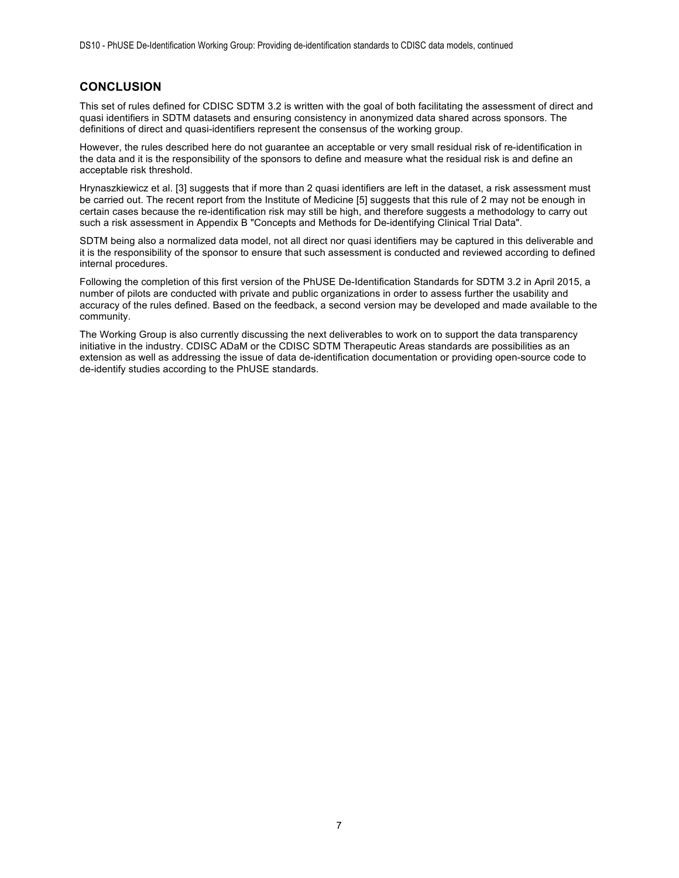# **CONCLUSION**

This set of rules defined for CDISC SDTM 3.2 is written with the goal of both facilitating the assessment of direct and quasi identifiers in SDTM datasets and ensuring consistency in anonymized data shared across sponsors. The definitions of direct and quasi-identifiers represent the consensus of the working group.

However, the rules described here do not guarantee an acceptable or very small residual risk of re-identification in the data and it is the responsibility of the sponsors to define and measure what the residual risk is and define an acceptable risk threshold.

Hrynaszkiewicz et al. [3] suggests that if more than 2 quasi identifiers are left in the dataset, a risk assessment must be carried out. The recent report from the Institute of Medicine [5] suggests that this rule of 2 may not be enough in certain cases because the re-identification risk may still be high, and therefore suggests a methodology to carry out such a risk assessment in Appendix B "Concepts and Methods for De-identifying Clinical Trial Data".

SDTM being also a normalized data model, not all direct nor quasi identifiers may be captured in this deliverable and it is the responsibility of the sponsor to ensure that such assessment is conducted and reviewed according to defined internal procedures.

Following the completion of this first version of the PhUSE De-Identification Standards for SDTM 3.2 in April 2015, a number of pilots are conducted with private and public organizations in order to assess further the usability and accuracy of the rules defined. Based on the feedback, a second version may be developed and made available to the community.

The Working Group is also currently discussing the next deliverables to work on to support the data transparency initiative in the industry. CDISC ADaM or the CDISC SDTM Therapeutic Areas standards are possibilities as an extension as well as addressing the issue of data de-identification documentation or providing open-source code to de-identify studies according to the PhUSE standards.